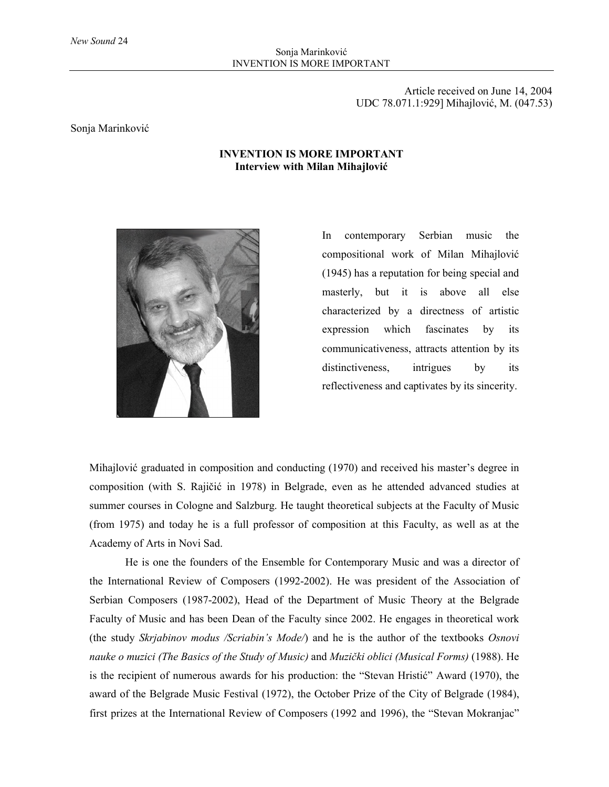Article received on June 14, 2004 UDC 78.071.1:929] Mihajlović, М. (047.53)

#### Sonja Marinković

#### **INVENTION IS MORE IMPORTANT Interview with Milan Mihajlović**



In contemporary Serbian music the compositional work of Milan Mihajlović (1945) has a reputation for being special and masterly, but it is above all else characterized by a directness of artistic expression which fascinates by its communicativeness, attracts attention by its distinctiveness, intrigues by its reflectiveness and captivates by its sincerity.

Mihajlović graduated in composition and conducting (1970) and received his master's degree in composition (with S. Rajičić in 1978) in Belgrade, even as he attended advanced studies at summer courses in Cologne and Salzburg. He taught theoretical subjects at the Faculty of Music (from 1975) and today he is a full professor of composition at this Faculty, as well as at the Academy of Arts in Novi Sad.

He is one the founders of the Ensemble for Contemporary Music and was a director of the International Review of Composers (1992-2002). He was president of the Association of Serbian Composers (1987-2002), Head of the Department of Music Theory at the Belgrade Faculty of Music and has been Dean of the Faculty since 2002. He engages in theoretical work (the study *Skrjabinov modus /Scriabin's Mode/*) and he is the author of the textbooks *Osnovi nauke o muzici (The Basics of the Study of Music)* and *Muzički oblici (Musical Forms)* (1988). He is the recipient of numerous awards for his production: the "Stevan Hristić" Award (1970), the award of the Belgrade Music Festival (1972), the October Prize of the City of Belgrade (1984), first prizes at the International Review of Composers (1992 and 1996), the "Stevan Mokranjac"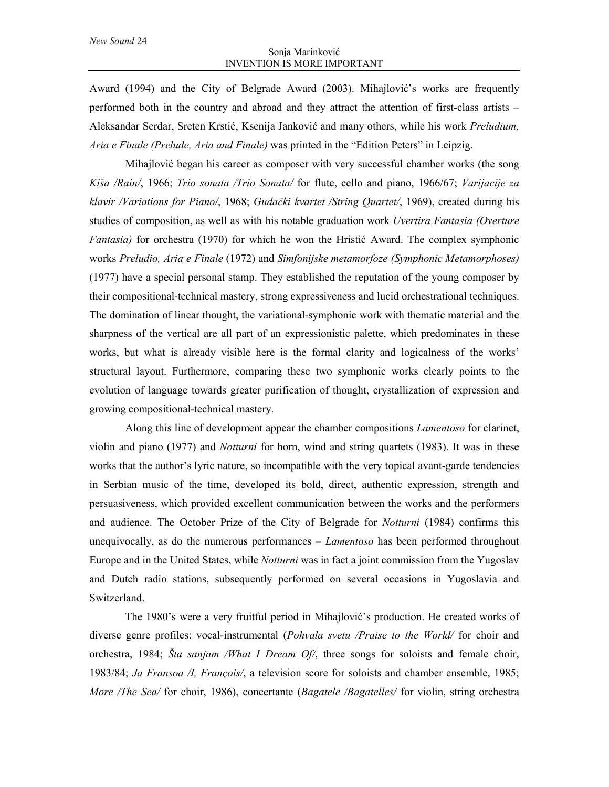Award (1994) and the City of Belgrade Award (2003). Mihajlović's works are frequently performed both in the country and abroad and they attract the attention of first-class artists – Aleksandar Serdar, Sreten Krstić, Ksenija Janković and many others, while his work *Preludium, Aria e Finale (Prelude, Aria and Finale)* was printed in the "Edition Peters" in Leipzig.

Mihajlović began his career as composer with very successful chamber works (the song *Kiša /Rain/*, 1966; *Trio sonata /Trio Sonata/* for flute, cello and piano, 1966/67; *Varijacije za klavir /Variations for Piano/*, 1968; *Gudački kvartet /String Quartet/*, 1969), created during his studies of composition, as well as with his notable graduation work *Uvertira Fantasia (Overture Fantasia)* for orchestra (1970) for which he won the Hristić Award. The complex symphonic works *Preludio, Aria e Finale* (1972) and *Simfonijske metamorfoze (Symphonic Metamorphoses)* (1977) have a special personal stamp. They established the reputation of the young composer by their compositional-technical mastery, strong expressiveness and lucid orchestrational techniques. The domination of linear thought, the variational-symphonic work with thematic material and the sharpness of the vertical are all part of an expressionistic palette, which predominates in these works, but what is already visible here is the formal clarity and logicalness of the works' structural layout. Furthermore, comparing these two symphonic works clearly points to the evolution of language towards greater purification of thought, crystallization of expression and growing compositional-technical mastery.

Along this line of development appear the chamber compositions *Lamentoso* for clarinet, violin and piano (1977) and *Notturni* for horn, wind and string quartets (1983). It was in these works that the author's lyric nature, so incompatible with the very topical avant-garde tendencies in Serbian music of the time, developed its bold, direct, authentic expression, strength and persuasiveness, which provided excellent communication between the works and the performers and audience. The October Prize of the City of Belgrade for *Notturni* (1984) confirms this unequivocally, as do the numerous performances – *Lamentoso* has been performed throughout Europe and in the United States, while *Notturni* was in fact a joint commission from the Yugoslav and Dutch radio stations, subsequently performed on several occasions in Yugoslavia and Switzerland.

The 1980's were a very fruitful period in Mihajlović's production. He created works of diverse genre profiles: vocal-instrumental (*Pohvala svetu /Praise to the World/* for choir and orchestra, 1984; *Šta sanjam /What I Dream Of/*, three songs for soloists and female choir, 1983/84; *Ja Fransoa /I, François/*, a television score for soloists and chamber ensemble, 1985; *More /The Sea/* for choir, 1986), concertante (*Bagatele /Bagatelles/* for violin, string orchestra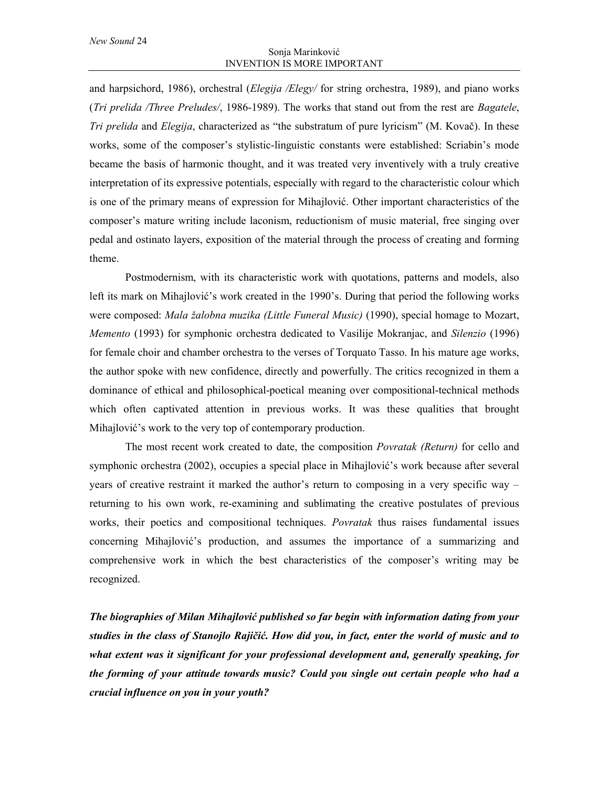and harpsichord, 1986), orchestral (*Elegija /Elegy/* for string orchestra, 1989), and piano works (*Tri prelida /Three Preludes/*, 1986-1989). The works that stand out from the rest are *Bagatele*, *Tri prelida* and *Elegija*, characterized as "the substratum of pure lyricism" (M. Kovač). In these works, some of the composer's stylistic-linguistic constants were established: Scriabin's mode became the basis of harmonic thought, and it was treated very inventively with a truly creative interpretation of its expressive potentials, especially with regard to the characteristic colour which is one of the primary means of expression for Mihajlović. Other important characteristics of the composer's mature writing include laconism, reductionism of music material, free singing over pedal and ostinato layers, exposition of the material through the process of creating and forming theme.

Postmodernism, with its characteristic work with quotations, patterns and models, also left its mark on Mihajlović's work created in the 1990's. During that period the following works were composed: *Mala žalobna muzika (Little Funeral Music)* (1990), special homage to Mozart, *Memento* (1993) for symphonic orchestra dedicated to Vasilije Mokranjac, and *Silenzio* (1996) for female choir and chamber orchestra to the verses of Torquato Tasso. In his mature age works, the author spoke with new confidence, directly and powerfully. The critics recognized in them a dominance of ethical and philosophical-poetical meaning over compositional-technical methods which often captivated attention in previous works. It was these qualities that brought Mihajlović's work to the very top of contemporary production.

The most recent work created to date, the composition *Povratak (Return)* for cello and symphonic orchestra (2002), occupies a special place in Mihajlović's work because after several years of creative restraint it marked the author's return to composing in a very specific way – returning to his own work, re-examining and sublimating the creative postulates of previous works, their poetics and compositional techniques. *Povratak* thus raises fundamental issues concerning Mihajlović's production, and assumes the importance of a summarizing and comprehensive work in which the best characteristics of the composer's writing may be recognized.

*The biographies of Milan Mihajlović published so far begin with information dating from your studies in the class of Stanojlo Rajičić. How did you, in fact, enter the world of music and to what extent was it significant for your professional development and, generally speaking, for the forming of your attitude towards music? Could you single out certain people who had a crucial influence on you in your youth?*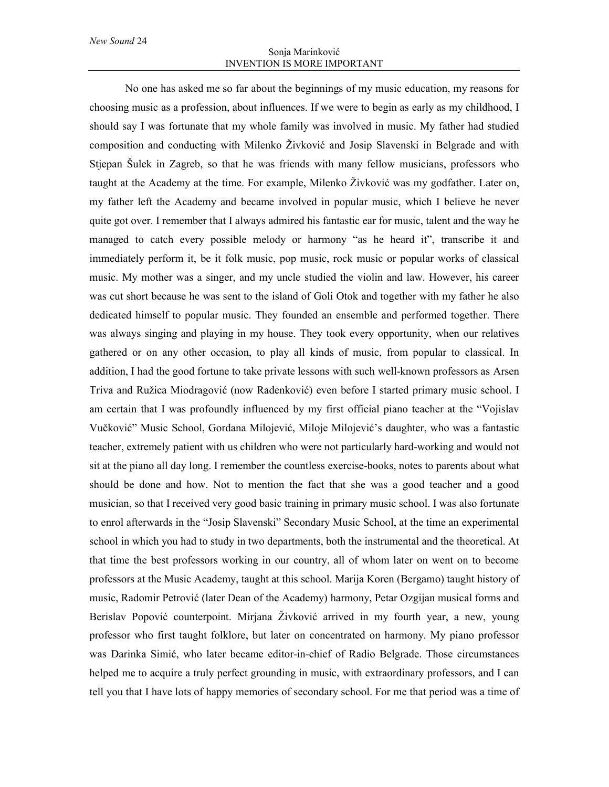No one has asked me so far about the beginnings of my music education, my reasons for choosing music as a profession, about influences. If we were to begin as early as my childhood, I should say I was fortunate that my whole family was involved in music. My father had studied composition and conducting with Milenko Živković and Josip Slavenski in Belgrade and with Stjepan Šulek in Zagreb, so that he was friends with many fellow musicians, professors who taught at the Academy at the time. For example, Milenko Živković was my godfather. Later on, my father left the Academy and became involved in popular music, which I believe he never quite got over. I remember that I always admired his fantastic ear for music, talent and the way he managed to catch every possible melody or harmony "as he heard it", transcribe it and immediately perform it, be it folk music, pop music, rock music or popular works of classical music. My mother was a singer, and my uncle studied the violin and law. However, his career was cut short because he was sent to the island of Goli Otok and together with my father he also dedicated himself to popular music. They founded an ensemble and performed together. There was always singing and playing in my house. They took every opportunity, when our relatives gathered or on any other occasion, to play all kinds of music, from popular to classical. In addition, I had the good fortune to take private lessons with such well-known professors as Arsen Triva and Ružica Miodragović (now Radenković) even before I started primary music school. I am certain that I was profoundly influenced by my first official piano teacher at the "Vojislav Vučković" Music School, Gordana Milojević, Miloje Milojević's daughter, who was a fantastic teacher, extremely patient with us children who were not particularly hard-working and would not sit at the piano all day long. I remember the countless exercise-books, notes to parents about what should be done and how. Not to mention the fact that she was a good teacher and a good musician, so that I received very good basic training in primary music school. I was also fortunate to enrol afterwards in the "Josip Slavenski" Secondary Music School, at the time an experimental school in which you had to study in two departments, both the instrumental and the theoretical. At that time the best professors working in our country, all of whom later on went on to become professors at the Music Academy, taught at this school. Marija Koren (Bergamo) taught history of music, Radomir Petrović (later Dean of the Academy) harmony, Petar Ozgijan musical forms and Berislav Popović counterpoint. Mirjana Živković arrived in my fourth year, a new, young professor who first taught folklore, but later on concentrated on harmony. My piano professor was Darinka Simić, who later became editor-in-chief of Radio Belgrade. Those circumstances helped me to acquire a truly perfect grounding in music, with extraordinary professors, and I can tell you that I have lots of happy memories of secondary school. For me that period was a time of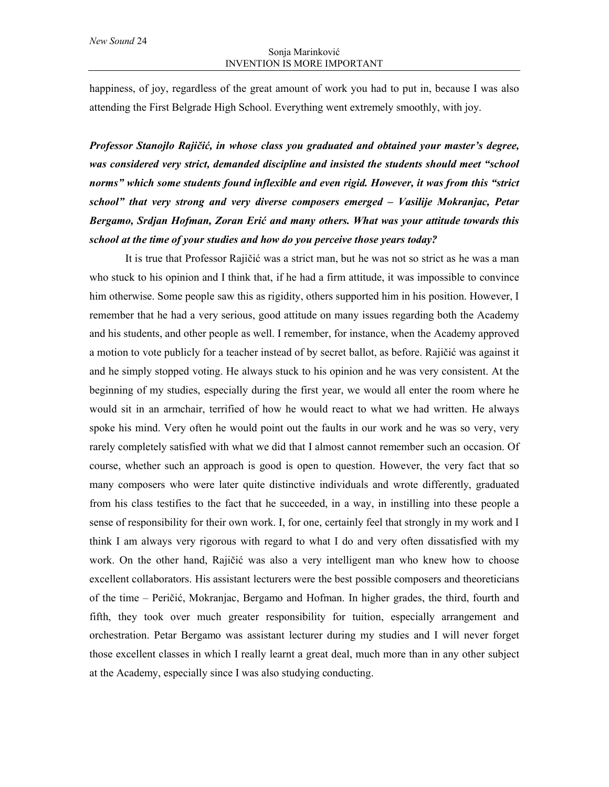happiness, of joy, regardless of the great amount of work you had to put in, because I was also attending the First Belgrade High School. Everything went extremely smoothly, with joy.

*Professor Stanojlo Rajičić, in whose class you graduated and obtained your master's degree, was considered very strict, demanded discipline and insisted the students should meet "school norms" which some students found inflexible and even rigid. However, it was from this "strict school" that very strong and very diverse composers emerged – Vasilije Mokranjac, Petar Bergamo, Srdjan Hofman, Zoran Erić and many others. What was your attitude towards this school at the time of your studies and how do you perceive those years today?*

It is true that Professor Rajičić was a strict man, but he was not so strict as he was a man who stuck to his opinion and I think that, if he had a firm attitude, it was impossible to convince him otherwise. Some people saw this as rigidity, others supported him in his position. However, I remember that he had a very serious, good attitude on many issues regarding both the Academy and his students, and other people as well. I remember, for instance, when the Academy approved a motion to vote publicly for a teacher instead of by secret ballot, as before. Rajičić was against it and he simply stopped voting. He always stuck to his opinion and he was very consistent. At the beginning of my studies, especially during the first year, we would all enter the room where he would sit in an armchair, terrified of how he would react to what we had written. He always spoke his mind. Very often he would point out the faults in our work and he was so very, very rarely completely satisfied with what we did that I almost cannot remember such an occasion. Of course, whether such an approach is good is open to question. However, the very fact that so many composers who were later quite distinctive individuals and wrote differently, graduated from his class testifies to the fact that he succeeded, in a way, in instilling into these people a sense of responsibility for their own work. I, for one, certainly feel that strongly in my work and I think I am always very rigorous with regard to what I do and very often dissatisfied with my work. On the other hand, Rajičić was also a very intelligent man who knew how to choose excellent collaborators. His assistant lecturers were the best possible composers and theoreticians of the time – Peričić, Mokranjac, Bergamo and Hofman. In higher grades, the third, fourth and fifth, they took over much greater responsibility for tuition, especially arrangement and orchestration. Petar Bergamo was assistant lecturer during my studies and I will never forget those excellent classes in which I really learnt a great deal, much more than in any other subject at the Academy, especially since I was also studying conducting.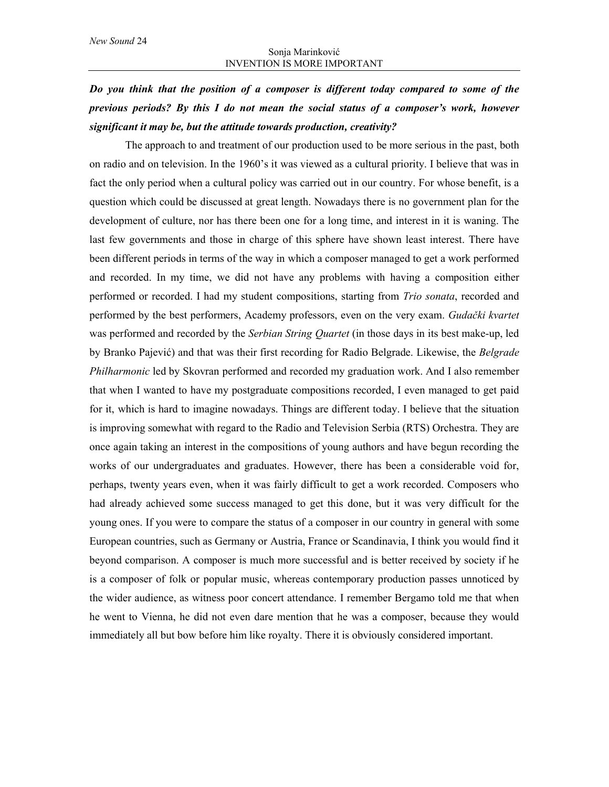# *Do you think that the position of a composer is different today compared to some of the previous periods? By this I do not mean the social status of a composer's work, however significant it may be, but the attitude towards production, creativity?*

The approach to and treatment of our production used to be more serious in the past, both on radio and on television. In the 1960's it was viewed as a cultural priority. I believe that was in fact the only period when a cultural policy was carried out in our country. For whose benefit, is a question which could be discussed at great length. Nowadays there is no government plan for the development of culture, nor has there been one for a long time, and interest in it is waning. The last few governments and those in charge of this sphere have shown least interest. There have been different periods in terms of the way in which a composer managed to get a work performed and recorded. In my time, we did not have any problems with having a composition either performed or recorded. I had my student compositions, starting from *Trio sonata*, recorded and performed by the best performers, Academy professors, even on the very exam. *Gudački kvartet* was performed and recorded by the *Serbian String Quartet* (in those days in its best make-up, led by Branko Pajević) and that was their first recording for Radio Belgrade. Likewise, the *Belgrade Philharmonic* led by Skovran performed and recorded my graduation work. And I also remember that when I wanted to have my postgraduate compositions recorded, I even managed to get paid for it, which is hard to imagine nowadays. Things are different today. I believe that the situation is improving somewhat with regard to the Radio and Television Serbia (RTS) Orchestra. They are once again taking an interest in the compositions of young authors and have begun recording the works of our undergraduates and graduates. However, there has been a considerable void for, perhaps, twenty years even, when it was fairly difficult to get a work recorded. Composers who had already achieved some success managed to get this done, but it was very difficult for the young ones. If you were to compare the status of a composer in our country in general with some European countries, such as Germany or Austria, France or Scandinavia, I think you would find it beyond comparison. A composer is much more successful and is better received by society if he is a composer of folk or popular music, whereas contemporary production passes unnoticed by the wider audience, as witness poor concert attendance. I remember Bergamo told me that when he went to Vienna, he did not even dare mention that he was a composer, because they would immediately all but bow before him like royalty. There it is obviously considered important.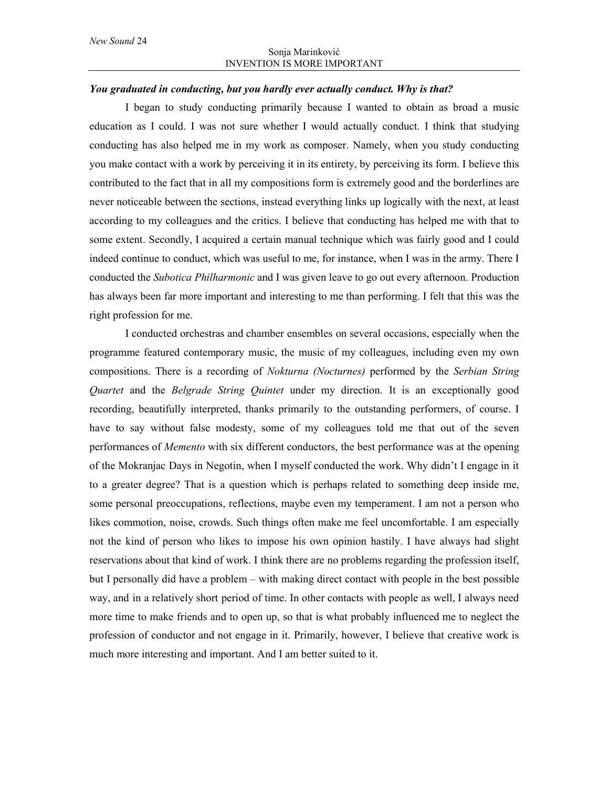#### *You graduated in conducting, but you hardly ever actually conduct. Why is that?*

I began to study conducting primarily because I wanted to obtain as broad a music education as I could. I was not sure whether I would actually conduct. I think that studying conducting has also helped me in my work as composer. Namely, when you study conducting you make contact with a work by perceiving it in its entirety, by perceiving its form. I believe this contributed to the fact that in all my compositions form is extremely good and the borderlines are never noticeable between the sections, instead everything links up logically with the next, at least according to my colleagues and the critics. I believe that conducting has helped me with that to some extent. Secondly, I acquired a certain manual technique which was fairly good and I could indeed continue to conduct, which was useful to me, for instance, when I was in the army. There I conducted the *Subotica Philharmonic* and I was given leave to go out every afternoon. Production has always been far more important and interesting to me than performing. I felt that this was the right profession for me.

I conducted orchestras and chamber ensembles on several occasions, especially when the programme featured contemporary music, the music of my colleagues, including even my own compositions. There is a recording of *Nokturna (Nocturnes)* performed by the *Serbian String Quartet* and the *Belgrade String Quintet* under my direction. It is an exceptionally good recording, beautifully interpreted, thanks primarily to the outstanding performers, of course. I have to say without false modesty, some of my colleagues told me that out of the seven performances of *Memento* with six different conductors, the best performance was at the opening of the Mokranjac Days in Negotin, when I myself conducted the work. Why didn't I engage in it to a greater degree? That is a question which is perhaps related to something deep inside me, some personal preoccupations, reflections, maybe even my temperament. I am not a person who likes commotion, noise, crowds. Such things often make me feel uncomfortable. I am especially not the kind of person who likes to impose his own opinion hastily. I have always had slight reservations about that kind of work. I think there are no problems regarding the profession itself, but I personally did have a problem – with making direct contact with people in the best possible way, and in a relatively short period of time. In other contacts with people as well, I always need more time to make friends and to open up, so that is what probably influenced me to neglect the profession of conductor and not engage in it. Primarily, however, I believe that creative work is much more interesting and important. And I am better suited to it.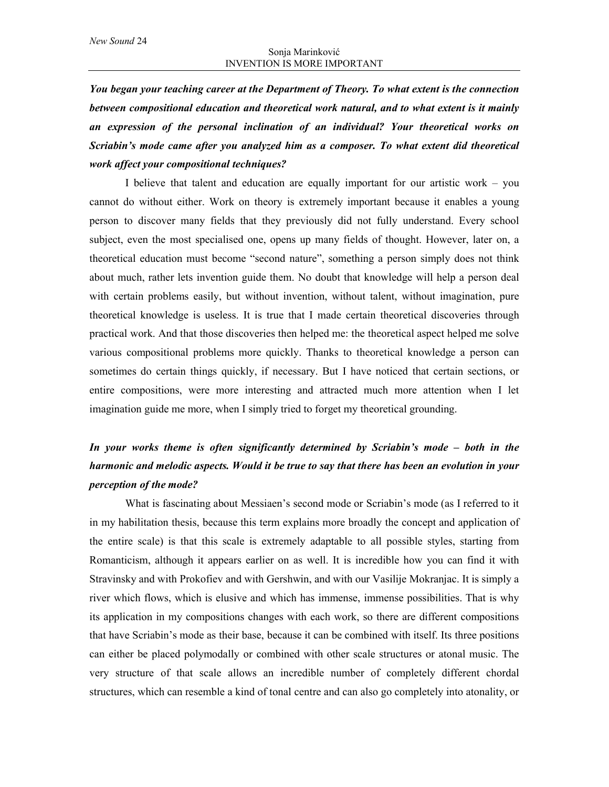*You began your teaching career at the Department of Theory. To what extent is the connection between compositional education and theoretical work natural, and to what extent is it mainly an expression of the personal inclination of an individual? Your theoretical works on Scriabin's mode came after you analyzed him as a composer. To what extent did theoretical work affect your compositional techniques?*

I believe that talent and education are equally important for our artistic work – you cannot do without either. Work on theory is extremely important because it enables a young person to discover many fields that they previously did not fully understand. Every school subject, even the most specialised one, opens up many fields of thought. However, later on, a theoretical education must become "second nature", something a person simply does not think about much, rather lets invention guide them. No doubt that knowledge will help a person deal with certain problems easily, but without invention, without talent, without imagination, pure theoretical knowledge is useless. It is true that I made certain theoretical discoveries through practical work. And that those discoveries then helped me: the theoretical aspect helped me solve various compositional problems more quickly. Thanks to theoretical knowledge a person can sometimes do certain things quickly, if necessary. But I have noticed that certain sections, or entire compositions, were more interesting and attracted much more attention when I let imagination guide me more, when I simply tried to forget my theoretical grounding.

## *In your works theme is often significantly determined by Scriabin's mode – both in the harmonic and melodic aspects. Would it be true to say that there has been an evolution in your perception of the mode?*

What is fascinating about Messiaen's second mode or Scriabin's mode (as I referred to it in my habilitation thesis, because this term explains more broadly the concept and application of the entire scale) is that this scale is extremely adaptable to all possible styles, starting from Romanticism, although it appears earlier on as well. It is incredible how you can find it with Stravinsky and with Prokofiev and with Gershwin, and with our Vasilije Mokranjac. It is simply a river which flows, which is elusive and which has immense, immense possibilities. That is why its application in my compositions changes with each work, so there are different compositions that have Scriabin's mode as their base, because it can be combined with itself. Its three positions can either be placed polymodally or combined with other scale structures or atonal music. The very structure of that scale allows an incredible number of completely different chordal structures, which can resemble a kind of tonal centre and can also go completely into atonality, or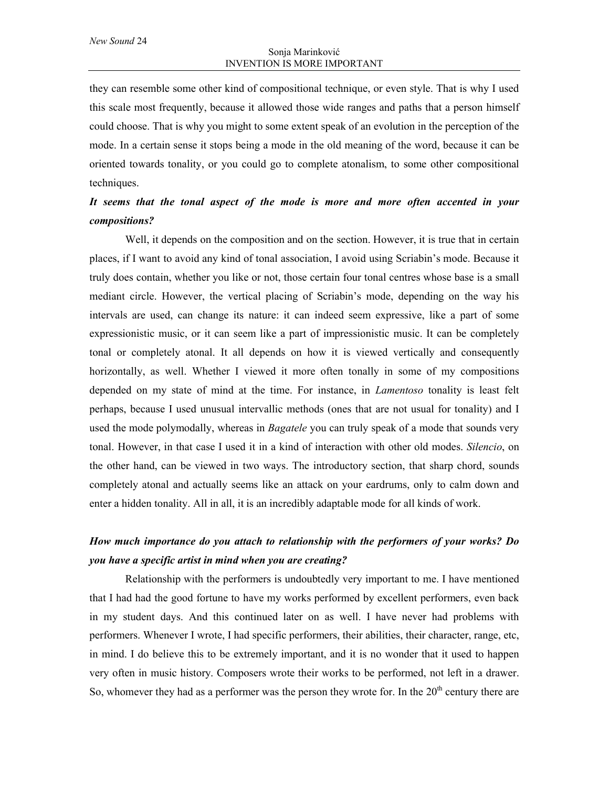they can resemble some other kind of compositional technique, or even style. That is why I used this scale most frequently, because it allowed those wide ranges and paths that a person himself could choose. That is why you might to some extent speak of an evolution in the perception of the mode. In a certain sense it stops being a mode in the old meaning of the word, because it can be oriented towards tonality, or you could go to complete atonalism, to some other compositional techniques.

### *It seems that the tonal aspect of the mode is more and more often accented in your compositions?*

Well, it depends on the composition and on the section. However, it is true that in certain places, if I want to avoid any kind of tonal association, I avoid using Scriabin's mode. Because it truly does contain, whether you like or not, those certain four tonal centres whose base is a small mediant circle. However, the vertical placing of Scriabin's mode, depending on the way his intervals are used, can change its nature: it can indeed seem expressive, like a part of some expressionistic music, or it can seem like a part of impressionistic music. It can be completely tonal or completely atonal. It all depends on how it is viewed vertically and consequently horizontally, as well. Whether I viewed it more often tonally in some of my compositions depended on my state of mind at the time. For instance, in *Lamentoso* tonality is least felt perhaps, because I used unusual intervallic methods (ones that are not usual for tonality) and I used the mode polymodally, whereas in *Bagatele* you can truly speak of a mode that sounds very tonal. However, in that case I used it in a kind of interaction with other old modes. *Silencio*, on the other hand, can be viewed in two ways. The introductory section, that sharp chord, sounds completely atonal and actually seems like an attack on your eardrums, only to calm down and enter a hidden tonality. All in all, it is an incredibly adaptable mode for all kinds of work.

### *How much importance do you attach to relationship with the performers of your works? Do you have a specific artist in mind when you are creating?*

Relationship with the performers is undoubtedly very important to me. I have mentioned that I had had the good fortune to have my works performed by excellent performers, even back in my student days. And this continued later on as well. I have never had problems with performers. Whenever I wrote, I had specific performers, their abilities, their character, range, etc, in mind. I do believe this to be extremely important, and it is no wonder that it used to happen very often in music history. Composers wrote their works to be performed, not left in a drawer. So, whomever they had as a performer was the person they wrote for. In the  $20<sup>th</sup>$  century there are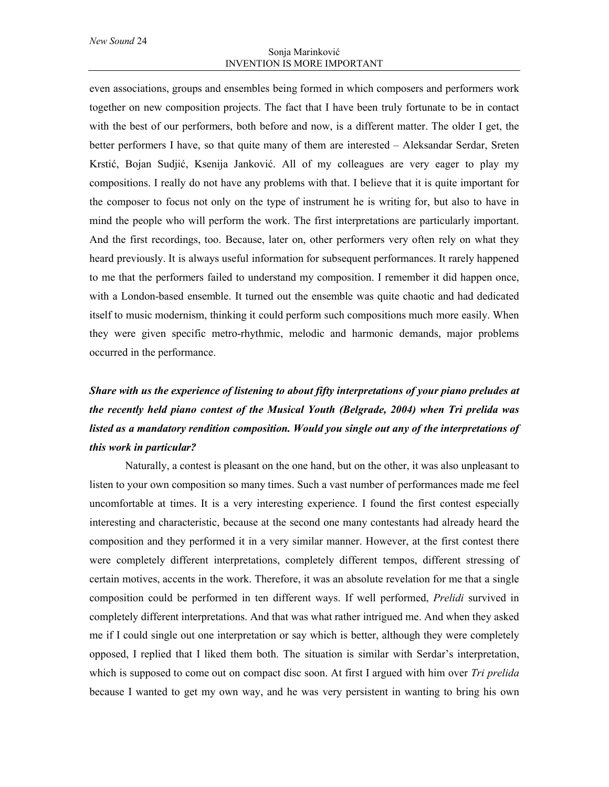even associations, groups and ensembles being formed in which composers and performers work together on new composition projects. The fact that I have been truly fortunate to be in contact with the best of our performers, both before and now, is a different matter. The older I get, the better performers I have, so that quite many of them are interested – Aleksandar Serdar, Sreten Krstić, Bojan Sudjić, Ksenija Janković. All of my colleagues are very eager to play my compositions. I really do not have any problems with that. I believe that it is quite important for the composer to focus not only on the type of instrument he is writing for, but also to have in mind the people who will perform the work. The first interpretations are particularly important. And the first recordings, too. Because, later on, other performers very often rely on what they heard previously. It is always useful information for subsequent performances. It rarely happened to me that the performers failed to understand my composition. I remember it did happen once, with a London-based ensemble. It turned out the ensemble was quite chaotic and had dedicated itself to music modernism, thinking it could perform such compositions much more easily. When they were given specific metro-rhythmic, melodic and harmonic demands, major problems occurred in the performance.

# *Share with us the experience of listening to about fifty interpretations of your piano preludes at the recently held piano contest of the Musical Youth (Belgrade, 2004) when Tri prelida was listed as a mandatory rendition composition. Would you single out any of the interpretations of this work in particular?*

Naturally, a contest is pleasant on the one hand, but on the other, it was also unpleasant to listen to your own composition so many times. Such a vast number of performances made me feel uncomfortable at times. It is a very interesting experience. I found the first contest especially interesting and characteristic, because at the second one many contestants had already heard the composition and they performed it in a very similar manner. However, at the first contest there were completely different interpretations, completely different tempos, different stressing of certain motives, accents in the work. Therefore, it was an absolute revelation for me that a single composition could be performed in ten different ways. If well performed, *Prelidi* survived in completely different interpretations. And that was what rather intrigued me. And when they asked me if I could single out one interpretation or say which is better, although they were completely opposed, I replied that I liked them both. The situation is similar with Serdar's interpretation, which is supposed to come out on compact disc soon. At first I argued with him over *Tri prelida* because I wanted to get my own way, and he was very persistent in wanting to bring his own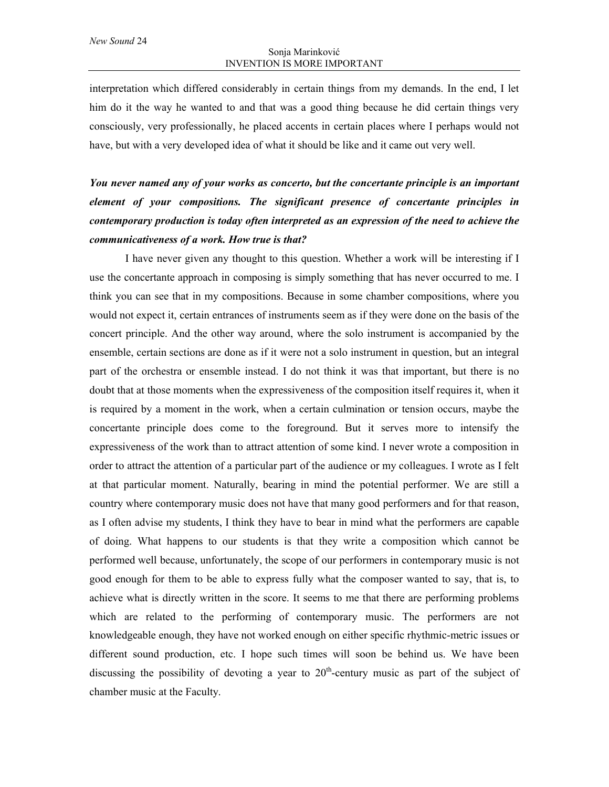interpretation which differed considerably in certain things from my demands. In the end, I let him do it the way he wanted to and that was a good thing because he did certain things very consciously, very professionally, he placed accents in certain places where I perhaps would not have, but with a very developed idea of what it should be like and it came out very well.

# *You never named any of your works as concerto, but the concertante principle is an important element of your compositions. The significant presence of concertante principles in contemporary production is today often interpreted as an expression of the need to achieve the communicativeness of a work. How true is that?*

I have never given any thought to this question. Whether a work will be interesting if I use the concertante approach in composing is simply something that has never occurred to me. I think you can see that in my compositions. Because in some chamber compositions, where you would not expect it, certain entrances of instruments seem as if they were done on the basis of the concert principle. And the other way around, where the solo instrument is accompanied by the ensemble, certain sections are done as if it were not a solo instrument in question, but an integral part of the orchestra or ensemble instead. I do not think it was that important, but there is no doubt that at those moments when the expressiveness of the composition itself requires it, when it is required by a moment in the work, when a certain culmination or tension occurs, maybe the concertante principle does come to the foreground. But it serves more to intensify the expressiveness of the work than to attract attention of some kind. I never wrote a composition in order to attract the attention of a particular part of the audience or my colleagues. I wrote as I felt at that particular moment. Naturally, bearing in mind the potential performer. We are still a country where contemporary music does not have that many good performers and for that reason, as I often advise my students, I think they have to bear in mind what the performers are capable of doing. What happens to our students is that they write a composition which cannot be performed well because, unfortunately, the scope of our performers in contemporary music is not good enough for them to be able to express fully what the composer wanted to say, that is, to achieve what is directly written in the score. It seems to me that there are performing problems which are related to the performing of contemporary music. The performers are not knowledgeable enough, they have not worked enough on either specific rhythmic-metric issues or different sound production, etc. I hope such times will soon be behind us. We have been discussing the possibility of devoting a year to  $20<sup>th</sup>$ -century music as part of the subject of chamber music at the Faculty.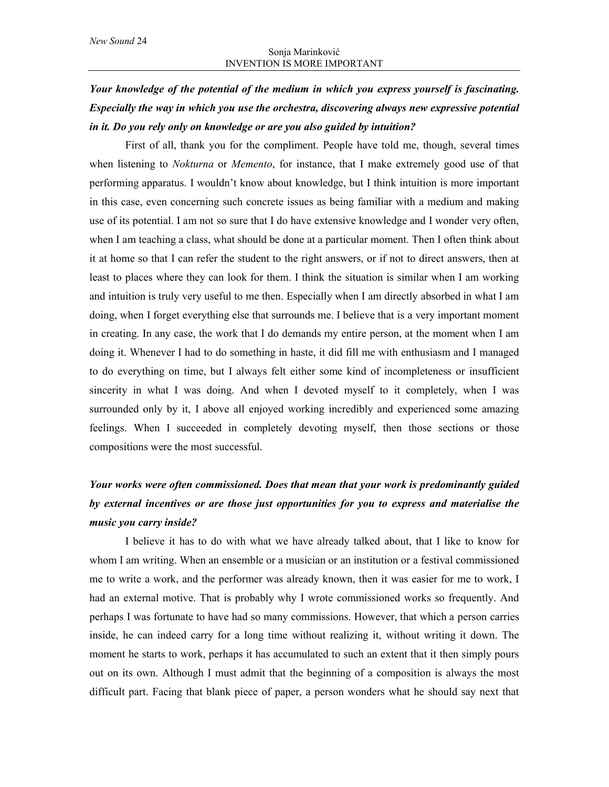# *Your knowledge of the potential of the medium in which you express yourself is fascinating. Especially the way in which you use the orchestra, discovering always new expressive potential in it. Do you rely only on knowledge or are you also guided by intuition?*

First of all, thank you for the compliment. People have told me, though, several times when listening to *Nokturna* or *Memento*, for instance, that I make extremely good use of that performing apparatus. I wouldn't know about knowledge, but I think intuition is more important in this case, even concerning such concrete issues as being familiar with a medium and making use of its potential. I am not so sure that I do have extensive knowledge and I wonder very often, when I am teaching a class, what should be done at a particular moment. Then I often think about it at home so that I can refer the student to the right answers, or if not to direct answers, then at least to places where they can look for them. I think the situation is similar when I am working and intuition is truly very useful to me then. Especially when I am directly absorbed in what I am doing, when I forget everything else that surrounds me. I believe that is a very important moment in creating. In any case, the work that I do demands my entire person, at the moment when I am doing it. Whenever I had to do something in haste, it did fill me with enthusiasm and I managed to do everything on time, but I always felt either some kind of incompleteness or insufficient sincerity in what I was doing. And when I devoted myself to it completely, when I was surrounded only by it, I above all enjoyed working incredibly and experienced some amazing feelings. When I succeeded in completely devoting myself, then those sections or those compositions were the most successful.

## *Your works were often commissioned. Does that mean that your work is predominantly guided by external incentives or are those just opportunities for you to express and materialise the music you carry inside?*

I believe it has to do with what we have already talked about, that I like to know for whom I am writing. When an ensemble or a musician or an institution or a festival commissioned me to write a work, and the performer was already known, then it was easier for me to work, I had an external motive. That is probably why I wrote commissioned works so frequently. And perhaps I was fortunate to have had so many commissions. However, that which a person carries inside, he can indeed carry for a long time without realizing it, without writing it down. The moment he starts to work, perhaps it has accumulated to such an extent that it then simply pours out on its own. Although I must admit that the beginning of a composition is always the most difficult part. Facing that blank piece of paper, a person wonders what he should say next that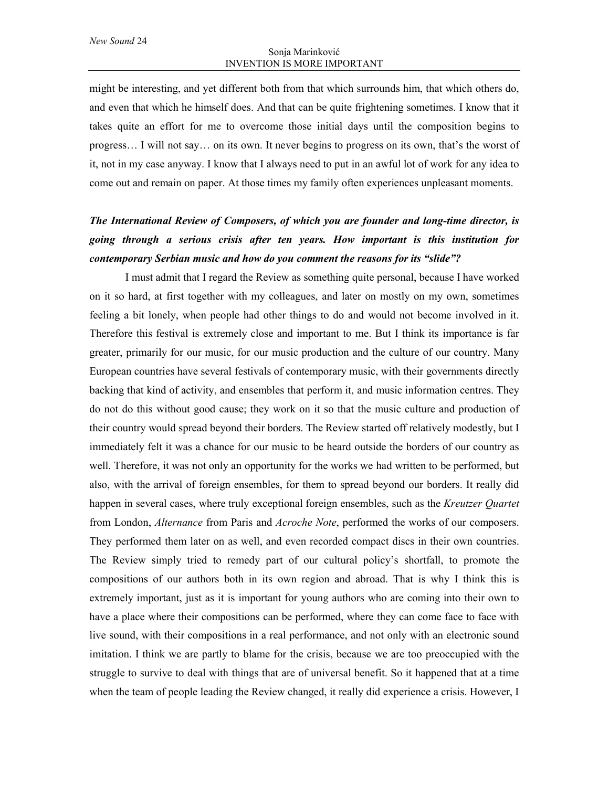might be interesting, and yet different both from that which surrounds him, that which others do, and even that which he himself does. And that can be quite frightening sometimes. I know that it takes quite an effort for me to overcome those initial days until the composition begins to progress… I will not say… on its own. It never begins to progress on its own, that's the worst of it, not in my case anyway. I know that I always need to put in an awful lot of work for any idea to come out and remain on paper. At those times my family often experiences unpleasant moments.

# *The International Review of Composers, of which you are founder and long-time director, is going through a serious crisis after ten years. How important is this institution for contemporary Serbian music and how do you comment the reasons for its "slide"?*

I must admit that I regard the Review as something quite personal, because I have worked on it so hard, at first together with my colleagues, and later on mostly on my own, sometimes feeling a bit lonely, when people had other things to do and would not become involved in it. Therefore this festival is extremely close and important to me. But I think its importance is far greater, primarily for our music, for our music production and the culture of our country. Many European countries have several festivals of contemporary music, with their governments directly backing that kind of activity, and ensembles that perform it, and music information centres. They do not do this without good cause; they work on it so that the music culture and production of their country would spread beyond their borders. The Review started off relatively modestly, but I immediately felt it was a chance for our music to be heard outside the borders of our country as well. Therefore, it was not only an opportunity for the works we had written to be performed, but also, with the arrival of foreign ensembles, for them to spread beyond our borders. It really did happen in several cases, where truly exceptional foreign ensembles, such as the *Kreutzer Quartet* from London, *Alternance* from Paris and *Acroche Note*, performed the works of our composers. They performed them later on as well, and even recorded compact discs in their own countries. The Review simply tried to remedy part of our cultural policy's shortfall, to promote the compositions of our authors both in its own region and abroad. That is why I think this is extremely important, just as it is important for young authors who are coming into their own to have a place where their compositions can be performed, where they can come face to face with live sound, with their compositions in a real performance, and not only with an electronic sound imitation. I think we are partly to blame for the crisis, because we are too preoccupied with the struggle to survive to deal with things that are of universal benefit. So it happened that at a time when the team of people leading the Review changed, it really did experience a crisis. However, I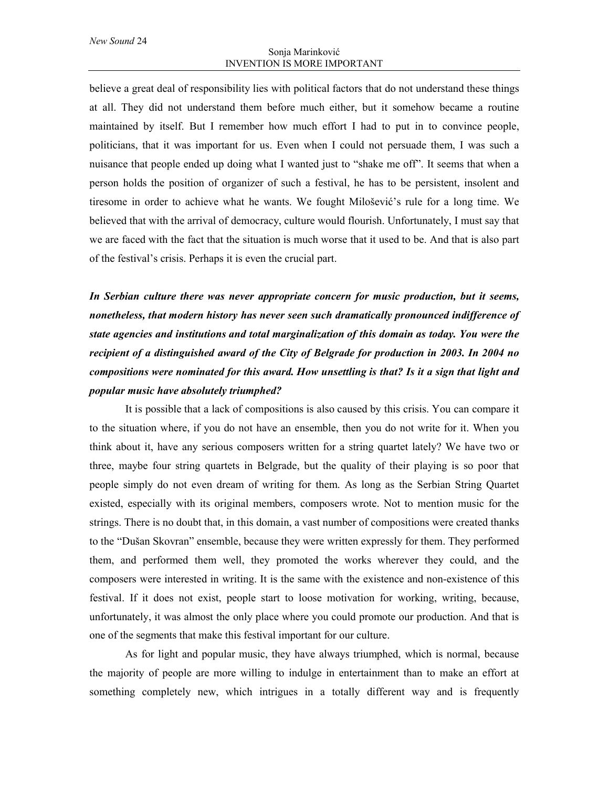believe a great deal of responsibility lies with political factors that do not understand these things at all. They did not understand them before much either, but it somehow became a routine maintained by itself. But I remember how much effort I had to put in to convince people, politicians, that it was important for us. Even when I could not persuade them, I was such a nuisance that people ended up doing what I wanted just to "shake me off". It seems that when a person holds the position of organizer of such a festival, he has to be persistent, insolent and tiresome in order to achieve what he wants. We fought Milošević's rule for a long time. We believed that with the arrival of democracy, culture would flourish. Unfortunately, I must say that we are faced with the fact that the situation is much worse that it used to be. And that is also part of the festival's crisis. Perhaps it is even the crucial part.

*In Serbian culture there was never appropriate concern for music production, but it seems, nonetheless, that modern history has never seen such dramatically pronounced indifference of state agencies and institutions and total marginalization of this domain as today. You were the recipient of a distinguished award of the City of Belgrade for production in 2003. In 2004 no compositions were nominated for this award. How unsettling is that? Is it a sign that light and popular music have absolutely triumphed?*

It is possible that a lack of compositions is also caused by this crisis. You can compare it to the situation where, if you do not have an ensemble, then you do not write for it. When you think about it, have any serious composers written for a string quartet lately? We have two or three, maybe four string quartets in Belgrade, but the quality of their playing is so poor that people simply do not even dream of writing for them. As long as the Serbian String Quartet existed, especially with its original members, composers wrote. Not to mention music for the strings. There is no doubt that, in this domain, a vast number of compositions were created thanks to the "Dušan Skovran" ensemble, because they were written expressly for them. They performed them, and performed them well, they promoted the works wherever they could, and the composers were interested in writing. It is the same with the existence and non-existence of this festival. If it does not exist, people start to loose motivation for working, writing, because, unfortunately, it was almost the only place where you could promote our production. And that is one of the segments that make this festival important for our culture.

As for light and popular music, they have always triumphed, which is normal, because the majority of people are more willing to indulge in entertainment than to make an effort at something completely new, which intrigues in a totally different way and is frequently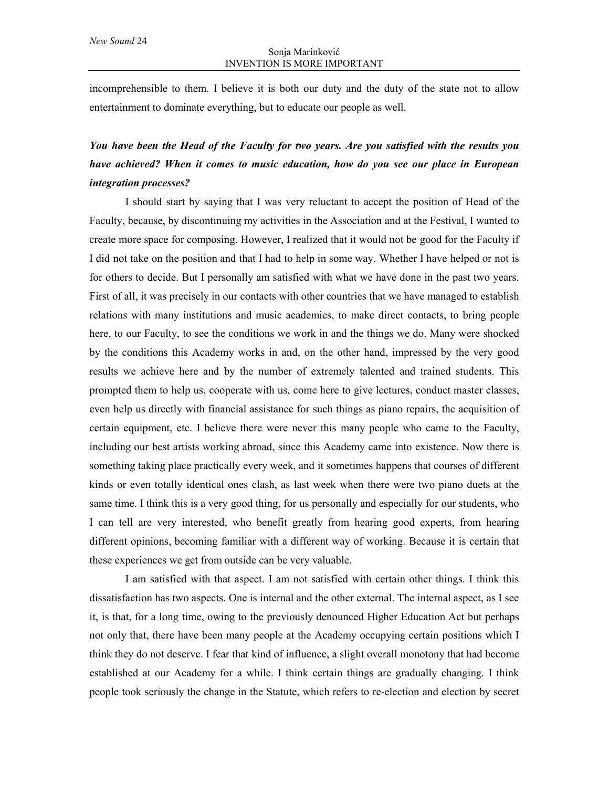incomprehensible to them. I believe it is both our duty and the duty of the state not to allow entertainment to dominate everything, but to educate our people as well.

# *You have been the Head of the Faculty for two years. Are you satisfied with the results you have achieved? When it comes to music education, how do you see our place in European integration processes?*

I should start by saying that I was very reluctant to accept the position of Head of the Faculty, because, by discontinuing my activities in the Association and at the Festival, I wanted to create more space for composing. However, I realized that it would not be good for the Faculty if I did not take on the position and that I had to help in some way. Whether I have helped or not is for others to decide. But I personally am satisfied with what we have done in the past two years. First of all, it was precisely in our contacts with other countries that we have managed to establish relations with many institutions and music academies, to make direct contacts, to bring people here, to our Faculty, to see the conditions we work in and the things we do. Many were shocked by the conditions this Academy works in and, on the other hand, impressed by the very good results we achieve here and by the number of extremely talented and trained students. This prompted them to help us, cooperate with us, come here to give lectures, conduct master classes, even help us directly with financial assistance for such things as piano repairs, the acquisition of certain equipment, etc. I believe there were never this many people who came to the Faculty, including our best artists working abroad, since this Academy came into existence. Now there is something taking place practically every week, and it sometimes happens that courses of different kinds or even totally identical ones clash, as last week when there were two piano duets at the same time. I think this is a very good thing, for us personally and especially for our students, who I can tell are very interested, who benefit greatly from hearing good experts, from hearing different opinions, becoming familiar with a different way of working. Because it is certain that these experiences we get from outside can be very valuable.

I am satisfied with that aspect. I am not satisfied with certain other things. I think this dissatisfaction has two aspects. One is internal and the other external. The internal aspect, as I see it, is that, for a long time, owing to the previously denounced Higher Education Act but perhaps not only that, there have been many people at the Academy occupying certain positions which I think they do not deserve. I fear that kind of influence, a slight overall monotony that had become established at our Academy for a while. I think certain things are gradually changing. I think people took seriously the change in the Statute, which refers to re-election and election by secret